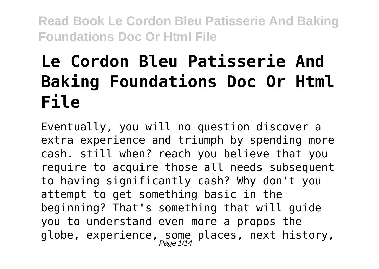# **Le Cordon Bleu Patisserie And Baking Foundations Doc Or Html File**

Eventually, you will no question discover a extra experience and triumph by spending more cash. still when? reach you believe that you require to acquire those all needs subsequent to having significantly cash? Why don't you attempt to get something basic in the beginning? That's something that will guide you to understand even more a propos the globe, experience, some places, next history,<br> $_{Page \ 1/14}$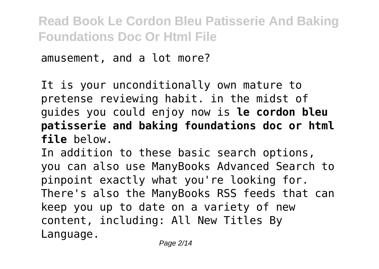amusement, and a lot more?

It is your unconditionally own mature to pretense reviewing habit. in the midst of guides you could enjoy now is **le cordon bleu patisserie and baking foundations doc or html file** below.

In addition to these basic search options, you can also use ManyBooks Advanced Search to pinpoint exactly what you're looking for. There's also the ManyBooks RSS feeds that can keep you up to date on a variety of new content, including: All New Titles By Language.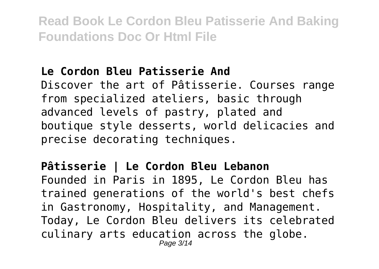# **Le Cordon Bleu Patisserie And**

Discover the art of Pâtisserie. Courses range from specialized ateliers, basic through advanced levels of pastry, plated and boutique style desserts, world delicacies and precise decorating techniques.

# **Pâtisserie | Le Cordon Bleu Lebanon** Founded in Paris in 1895, Le Cordon Bleu has trained generations of the world's best chefs in Gastronomy, Hospitality, and Management. Today, Le Cordon Bleu delivers its celebrated

culinary arts education across the globe.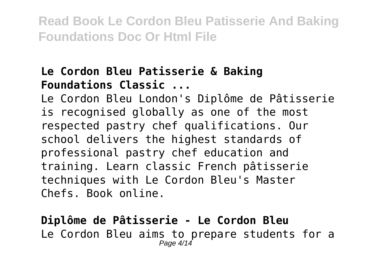### **Le Cordon Bleu Patisserie & Baking Foundations Classic ...**

Le Cordon Bleu London's Diplôme de Pâtisserie is recognised globally as one of the most respected pastry chef qualifications. Our school delivers the highest standards of professional pastry chef education and training. Learn classic French pâtisserie techniques with Le Cordon Bleu's Master Chefs. Book online.

**Diplôme de Pâtisserie - Le Cordon Bleu** Le Cordon Bleu aims to prepare students for a Page 4/14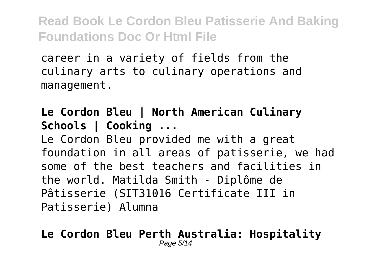career in a variety of fields from the culinary arts to culinary operations and management.

**Le Cordon Bleu | North American Culinary Schools | Cooking ...**

Le Cordon Bleu provided me with a great foundation in all areas of patisserie, we had some of the best teachers and facilities in the world. Matilda Smith - Diplôme de Pâtisserie (SIT31016 Certificate III in Patisserie) Alumna

#### **Le Cordon Bleu Perth Australia: Hospitality** Page 5/14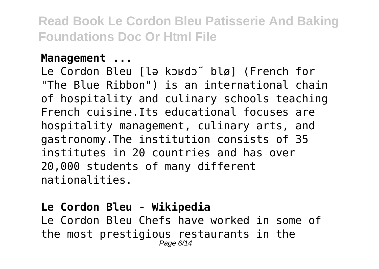### **Management ...**

Le Cordon Bleu [lə kɔʁdɔ̃ blø] (French for "The Blue Ribbon") is an international chain of hospitality and culinary schools teaching French cuisine.Its educational focuses are hospitality management, culinary arts, and gastronomy.The institution consists of 35 institutes in 20 countries and has over 20,000 students of many different nationalities.

# **Le Cordon Bleu - Wikipedia**

Le Cordon Bleu Chefs have worked in some of the most prestigious restaurants in the Page 6/14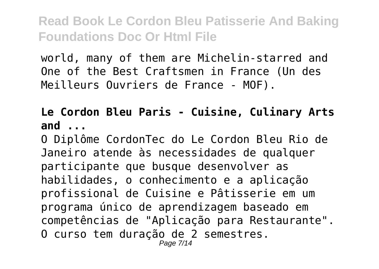world, many of them are Michelin-starred and One of the Best Craftsmen in France (Un des Meilleurs Ouvriers de France - MOF).

## **Le Cordon Bleu Paris - Cuisine, Culinary Arts and ...**

O Diplôme CordonTec do Le Cordon Bleu Rio de Janeiro atende às necessidades de qualquer participante que busque desenvolver as habilidades, o conhecimento e a aplicação profissional de Cuisine e Pâtisserie em um programa único de aprendizagem baseado em competências de "Aplicação para Restaurante". O curso tem duração de 2 semestres. Page 7/14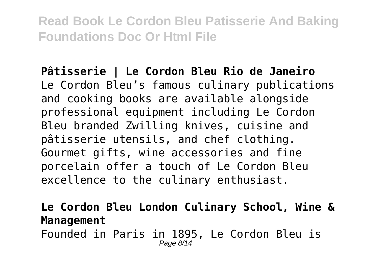**Pâtisserie | Le Cordon Bleu Rio de Janeiro** Le Cordon Bleu's famous culinary publications and cooking books are available alongside professional equipment including Le Cordon Bleu branded Zwilling knives, cuisine and pâtisserie utensils, and chef clothing. Gourmet gifts, wine accessories and fine porcelain offer a touch of Le Cordon Bleu excellence to the culinary enthusiast.

**Le Cordon Bleu London Culinary School, Wine & Management**

Founded in Paris in 1895, Le Cordon Bleu is Page 8/14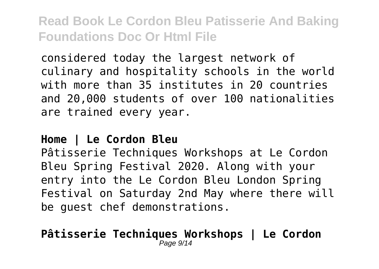considered today the largest network of culinary and hospitality schools in the world with more than 35 institutes in 20 countries and 20,000 students of over 100 nationalities are trained every year.

### **Home | Le Cordon Bleu**

Pâtisserie Techniques Workshops at Le Cordon Bleu Spring Festival 2020. Along with your entry into the Le Cordon Bleu London Spring Festival on Saturday 2nd May where there will be guest chef demonstrations.

#### **Pâtisserie Techniques Workshops | Le Cordon**  $P$ age  $9/$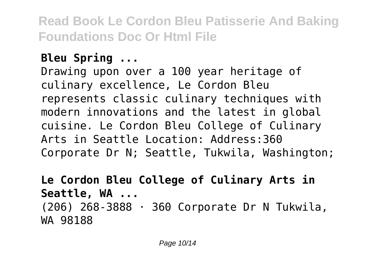# **Bleu Spring ...**

Drawing upon over a 100 year heritage of culinary excellence, Le Cordon Bleu represents classic culinary techniques with modern innovations and the latest in global cuisine. Le Cordon Bleu College of Culinary Arts in Seattle Location: Address:360 Corporate Dr N; Seattle, Tukwila, Washington;

**Le Cordon Bleu College of Culinary Arts in Seattle, WA ...** (206) 268-3888 · 360 Corporate Dr N Tukwila, WA 98188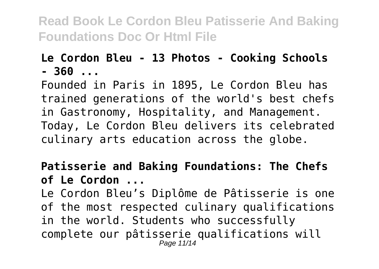## **Le Cordon Bleu - 13 Photos - Cooking Schools - 360 ...**

Founded in Paris in 1895, Le Cordon Bleu has trained generations of the world's best chefs in Gastronomy, Hospitality, and Management. Today, Le Cordon Bleu delivers its celebrated culinary arts education across the globe.

# **Patisserie and Baking Foundations: The Chefs of Le Cordon ...**

Le Cordon Bleu's Diplôme de Pâtisserie is one of the most respected culinary qualifications in the world. Students who successfully complete our pâtisserie qualifications will Page 11/14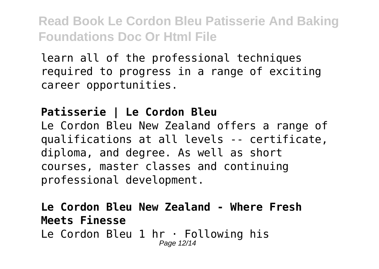learn all of the professional techniques required to progress in a range of exciting career opportunities.

# **Patisserie | Le Cordon Bleu**

Le Cordon Bleu New Zealand offers a range of qualifications at all levels -- certificate, diploma, and degree. As well as short courses, master classes and continuing professional development.

#### **Le Cordon Bleu New Zealand - Where Fresh Meets Finesse** Le Cordon Bleu 1 hr · Following his Page 12/14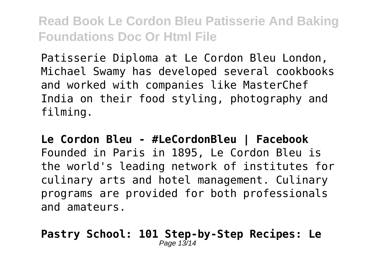Patisserie Diploma at Le Cordon Bleu London, Michael Swamy has developed several cookbooks and worked with companies like MasterChef India on their food styling, photography and filming.

**Le Cordon Bleu - #LeCordonBleu | Facebook** Founded in Paris in 1895, Le Cordon Bleu is the world's leading network of institutes for culinary arts and hotel management. Culinary programs are provided for both professionals and amateurs.

#### **Pastry School: 101 Step-by-Step Recipes: Le** Page 13/14